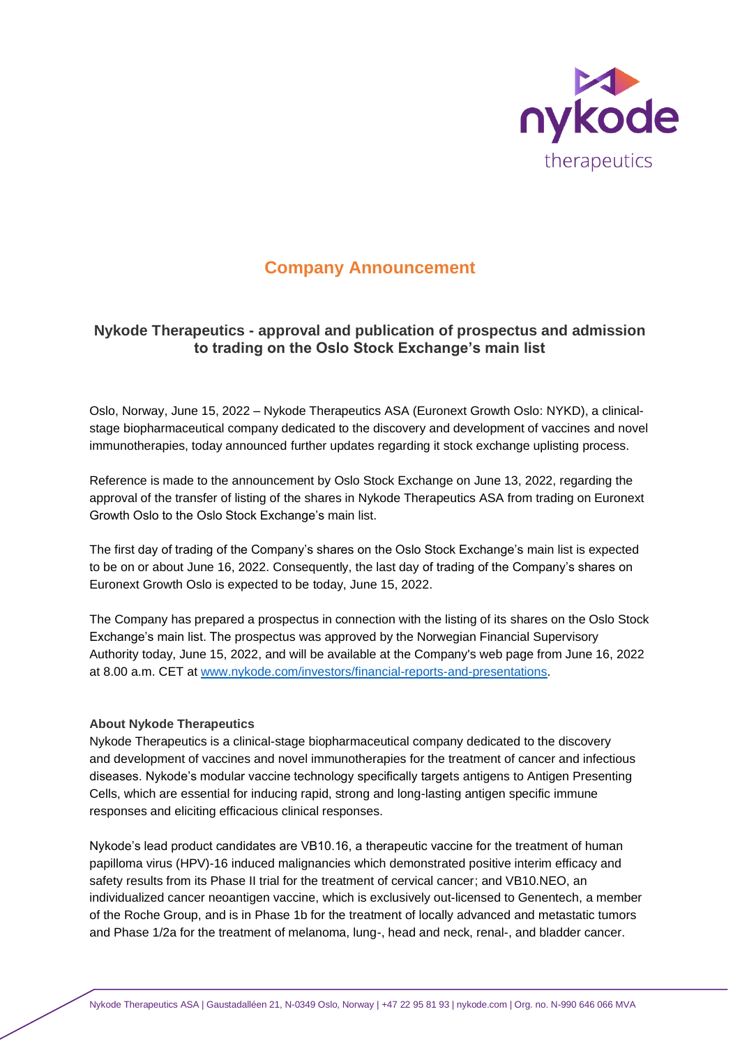

# **Company Announcement**

## **Nykode Therapeutics - approval and publication of prospectus and admission to trading on the Oslo Stock Exchange's main list**

Oslo, Norway, June 15, 2022 – Nykode Therapeutics ASA (Euronext Growth Oslo: NYKD), a clinicalstage biopharmaceutical company dedicated to the discovery and development of vaccines and novel immunotherapies, today announced further updates regarding it stock exchange uplisting process.

Reference is made to the announcement by Oslo Stock Exchange on June 13, 2022, regarding the approval of the transfer of listing of the shares in Nykode Therapeutics ASA from trading on Euronext Growth Oslo to the Oslo Stock Exchange's main list.

The first day of trading of the Company's shares on the Oslo Stock Exchange's main list is expected to be on or about June 16, 2022. Consequently, the last day of trading of the Company's shares on Euronext Growth Oslo is expected to be today, June 15, 2022.

The Company has prepared a prospectus in connection with the listing of its shares on the Oslo Stock Exchange's main list. The prospectus was approved by the Norwegian Financial Supervisory Authority today, June 15, 2022, and will be available at the Company's web page from June 16, 2022 at 8.00 a.m. CET a[t www.nykode.com/investors/financial-reports-and-presentations.](http://www.nykode.com/investors/financial-reports-and-presentations)

### **About Nykode Therapeutics**

Nykode Therapeutics is a clinical-stage biopharmaceutical company dedicated to the discovery and development of vaccines and novel immunotherapies for the treatment of cancer and infectious diseases. Nykode's modular vaccine technology specifically targets antigens to Antigen Presenting Cells, which are essential for inducing rapid, strong and long-lasting antigen specific immune responses and eliciting efficacious clinical responses.

Nykode's lead product candidates are VB10.16, a therapeutic vaccine for the treatment of human papilloma virus (HPV)-16 induced malignancies which demonstrated positive interim efficacy and safety results from its Phase II trial for the treatment of cervical cancer; and VB10.NEO, an individualized cancer neoantigen vaccine, which is exclusively out-licensed to Genentech, a member of the Roche Group, and is in Phase 1b for the treatment of locally advanced and metastatic tumors and Phase 1/2a for the treatment of melanoma, lung-, head and neck, renal-, and bladder cancer.